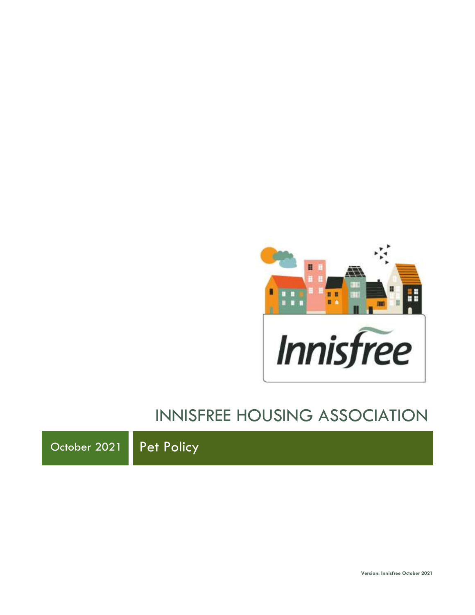

# INNISFREE HOUSING ASSOCIATION

October 2021 Pet Policy

**Version: Innisfree October 2021**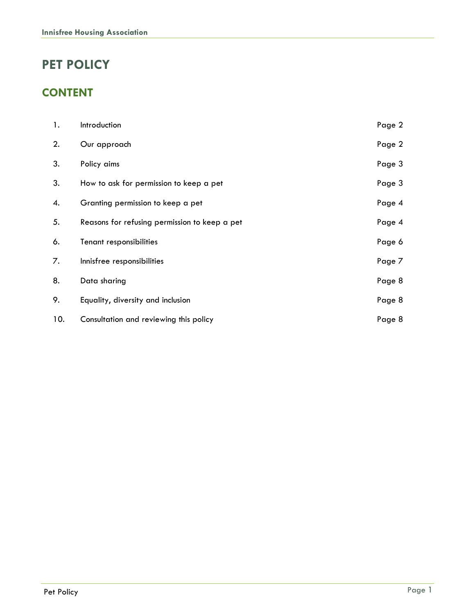# **PET POLICY**

### **CONTENT**

| 1.  | Introduction                                  | Page 2 |
|-----|-----------------------------------------------|--------|
| 2.  | Our approach                                  | Page 2 |
| 3.  | Policy aims                                   | Page 3 |
| 3.  | How to ask for permission to keep a pet       | Page 3 |
| 4.  | Granting permission to keep a pet             | Page 4 |
| 5.  | Reasons for refusing permission to keep a pet | Page 4 |
| 6.  | Tenant responsibilities                       | Page 6 |
| 7.  | Innisfree responsibilities                    | Page 7 |
| 8.  | Data sharing                                  | Page 8 |
| 9.  | Equality, diversity and inclusion             | Page 8 |
| 10. | Consultation and reviewing this policy        | Page 8 |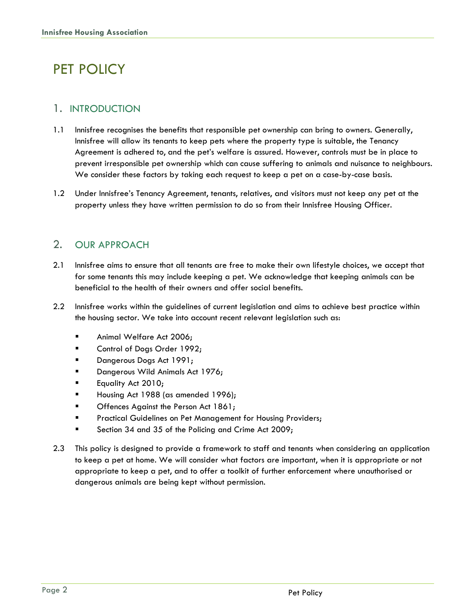# PET POLICY

#### 1. INTRODUCTION

- 1.1 Innisfree recognises the benefits that responsible pet ownership can bring to owners. Generally, Innisfree will allow its tenants to keep pets where the property type is suitable, the Tenancy Agreement is adhered to, and the pet's welfare is assured. However, controls must be in place to prevent irresponsible pet ownership which can cause suffering to animals and nuisance to neighbours. We consider these factors by taking each request to keep a pet on a case-by-case basis.
- 1.2 Under Innisfree's Tenancy Agreement, tenants, relatives, and visitors must not keep any pet at the property unless they have written permission to do so from their Innisfree Housing Officer.

#### 2. OUR APPROACH

- 2.1 Innisfree aims to ensure that all tenants are free to make their own lifestyle choices, we accept that for some tenants this may include keeping a pet. We acknowledge that keeping animals can be beneficial to the health of their owners and offer social benefits.
- 2.2 Innisfree works within the guidelines of current legislation and aims to achieve best practice within the housing sector. We take into account recent relevant legislation such as:
	- **■** Animal Welfare Act 2006;
	- Control of Dogs Order 1992;
	- Dangerous Dogs Act 1991;
	- Dangerous Wild Animals Act 1976;
	- **Equality Act 2010;**
	- Housing Act 1988 (as amended 1996);
	- Offences Against the Person Act 1861;
	- **EXECUTE:** Practical Guidelines on Pet Management for Housing Providers;
	- Section 34 and 35 of the Policing and Crime Act 2009;
- 2.3 This policy is designed to provide a framework to staff and tenants when considering an application to keep a pet at home. We will consider what factors are important, when it is appropriate or not appropriate to keep a pet, and to offer a toolkit of further enforcement where unauthorised or dangerous animals are being kept without permission.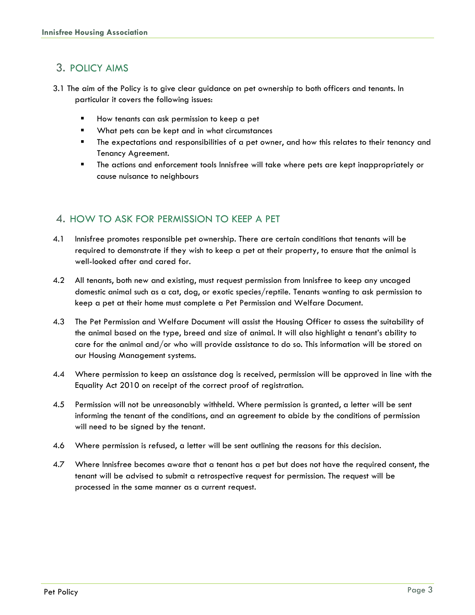### 3. POLICY AIMS

- 3.1 The aim of the Policy is to give clear guidance on pet ownership to both officers and tenants. In particular it covers the following issues:
	- How tenants can ask permission to keep a pet
	- What pets can be kept and in what circumstances
	- The expectations and responsibilities of a pet owner, and how this relates to their tenancy and Tenancy Agreement.
	- The actions and enforcement tools Innisfree will take where pets are kept inappropriately or cause nuisance to neighbours

#### 4. HOW TO ASK FOR PERMISSION TO KEEP A PET

- 4.1 Innisfree promotes responsible pet ownership. There are certain conditions that tenants will be required to demonstrate if they wish to keep a pet at their property, to ensure that the animal is well-looked after and cared for.
- 4.2 All tenants, both new and existing, must request permission from Innisfree to keep any uncaged domestic animal such as a cat, dog, or exotic species/reptile. Tenants wanting to ask permission to keep a pet at their home must complete a Pet Permission and Welfare Document.
- 4.3 The Pet Permission and Welfare Document will assist the Housing Officer to assess the suitability of the animal based on the type, breed and size of animal. It will also highlight a tenant's ability to care for the animal and/or who will provide assistance to do so. This information will be stored on our Housing Management systems.
- 4.4 Where permission to keep an assistance dog is received, permission will be approved in line with the Equality Act 2010 on receipt of the correct proof of registration.
- 4.5 Permission will not be unreasonably withheld. Where permission is granted, a letter will be sent informing the tenant of the conditions, and an agreement to abide by the conditions of permission will need to be signed by the tenant.
- 4.6 Where permission is refused, a letter will be sent outlining the reasons for this decision.
- 4.7 Where Innisfree becomes aware that a tenant has a pet but does not have the required consent, the tenant will be advised to submit a retrospective request for permission. The request will be processed in the same manner as a current request.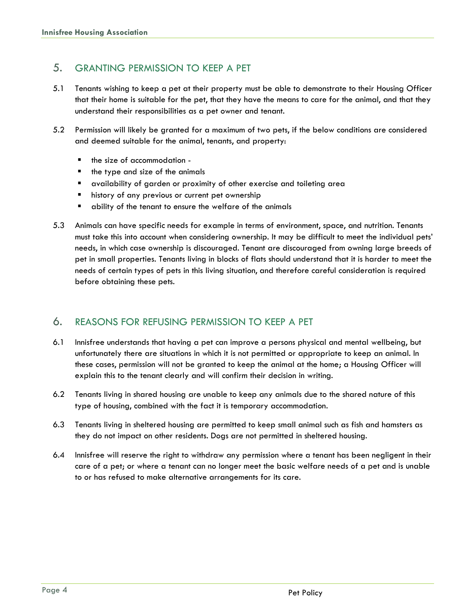#### 5. GRANTING PERMISSION TO KEEP A PET

- 5.1 Tenants wishing to keep a pet at their property must be able to demonstrate to their Housing Officer that their home is suitable for the pet, that they have the means to care for the animal, and that they understand their responsibilities as a pet owner and tenant.
- 5.2 Permission will likely be granted for a maximum of two pets, if the below conditions are considered and deemed suitable for the animal, tenants, and property:
	- the size of accommodation -
	- the type and size of the animals
	- availability of garden or proximity of other exercise and toileting area
	- history of any previous or current pet ownership
	- ability of the tenant to ensure the welfare of the animals
- 5.3 Animals can have specific needs for example in terms of environment, space, and nutrition. Tenants must take this into account when considering ownership. It may be difficult to meet the individual pets' needs, in which case ownership is discouraged. Tenant are discouraged from owning large breeds of pet in small properties. Tenants living in blocks of flats should understand that it is harder to meet the needs of certain types of pets in this living situation, and therefore careful consideration is required before obtaining these pets.

#### 6. REASONS FOR REFUSING PERMISSION TO KEEP A PET

- 6.1 Innisfree understands that having a pet can improve a persons physical and mental wellbeing, but unfortunately there are situations in which it is not permitted or appropriate to keep an animal. In these cases, permission will not be granted to keep the animal at the home; a Housing Officer will explain this to the tenant clearly and will confirm their decision in writing.
- 6.2 Tenants living in shared housing are unable to keep any animals due to the shared nature of this type of housing, combined with the fact it is temporary accommodation.
- 6.3 Tenants living in sheltered housing are permitted to keep small animal such as fish and hamsters as they do not impact on other residents. Dogs are not permitted in sheltered housing.
- 6.4 Innisfree will reserve the right to withdraw any permission where a tenant has been negligent in their care of a pet; or where a tenant can no longer meet the basic welfare needs of a pet and is unable to or has refused to make alternative arrangements for its care.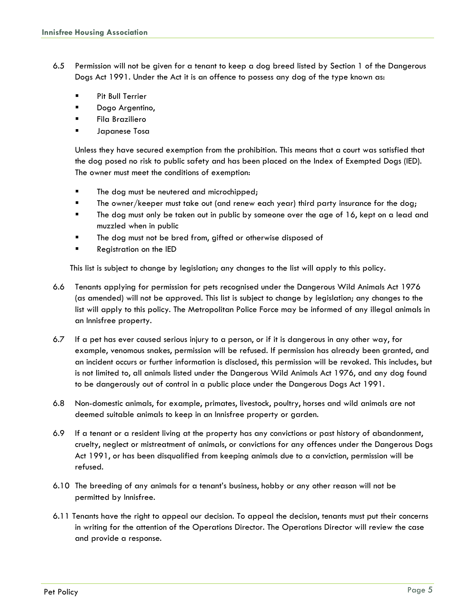- 6.5 Permission will not be given for a tenant to keep a dog breed listed by Section 1 of the Dangerous Dogs Act 1991. Under the Act it is an offence to possess any dog of the type known as:
	- Pit Bull Terrier
	- Dogo Argentino,
	- Fila Braziliero
	- Japanese Tosa

Unless they have secured exemption from the prohibition. This means that a court was satisfied that the dog posed no risk to public safety and has been placed on the Index of Exempted Dogs (IED). The owner must meet the conditions of exemption:

- The dog must be neutered and microchipped;
- **The owner/keeper must take out (and renew each year) third party insurance for the dog;**
- The dog must only be taken out in public by someone over the age of 16, kept on a lead and muzzled when in public
- The dog must not be bred from, gifted or otherwise disposed of
- **Registration on the IED**

This list is subject to change by legislation; any changes to the list will apply to this policy.

- 6.6 Tenants applying for permission for pets recognised under the Dangerous Wild Animals Act 1976 (as amended) will not be approved. This list is subject to change by legislation; any changes to the list will apply to this policy. The Metropolitan Police Force may be informed of any illegal animals in an Innisfree property.
- 6.7 If a pet has ever caused serious injury to a person, or if it is dangerous in any other way, for example, venomous snakes, permission will be refused. If permission has already been granted, and an incident occurs or further information is disclosed, this permission will be revoked. This includes, but is not limited to, all animals listed under the Dangerous Wild Animals Act 1976, and any dog found to be dangerously out of control in a public place under the Dangerous Dogs Act 1991.
- 6.8 Non-domestic animals, for example, primates, livestock, poultry, horses and wild animals are not deemed suitable animals to keep in an Innisfree property or garden.
- 6.9 If a tenant or a resident living at the property has any convictions or past history of abandonment, cruelty, neglect or mistreatment of animals, or convictions for any offences under the Dangerous Dogs Act 1991, or has been disqualified from keeping animals due to a conviction, permission will be refused.
- 6.10 The breeding of any animals for a tenant's business, hobby or any other reason will not be permitted by Innisfree.
- 6.11 Tenants have the right to appeal our decision. To appeal the decision, tenants must put their concerns in writing for the attention of the Operations Director. The Operations Director will review the case and provide a response.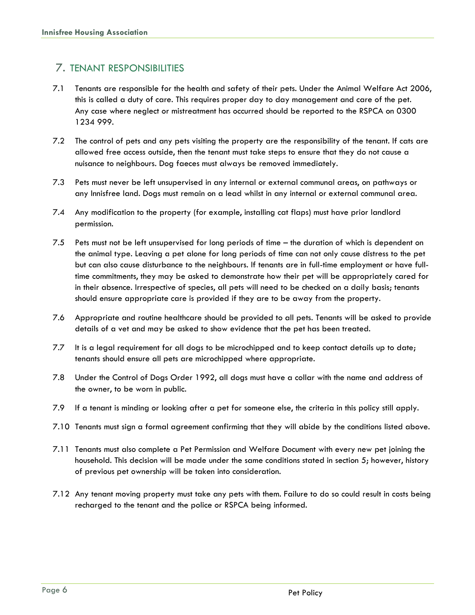#### 7. TENANT RESPONSIBILITIES

- 7.1 Tenants are responsible for the health and safety of their pets. Under the Animal Welfare Act 2006, this is called a duty of care. This requires proper day to day management and care of the pet. Any case where neglect or mistreatment has occurred should be reported to the RSPCA on 0300 1234 999.
- 7.2 The control of pets and any pets visiting the property are the responsibility of the tenant. If cats are allowed free access outside, then the tenant must take steps to ensure that they do not cause a nuisance to neighbours. Dog faeces must always be removed immediately.
- 7.3 Pets must never be left unsupervised in any internal or external communal areas, on pathways or any Innisfree land. Dogs must remain on a lead whilst in any internal or external communal area.
- 7.4 Any modification to the property (for example, installing cat flaps) must have prior landlord permission.
- 7.5 Pets must not be left unsupervised for long periods of time the duration of which is dependent on the animal type. Leaving a pet alone for long periods of time can not only cause distress to the pet but can also cause disturbance to the neighbours. If tenants are in full-time employment or have fulltime commitments, they may be asked to demonstrate how their pet will be appropriately cared for in their absence. Irrespective of species, all pets will need to be checked on a daily basis; tenants should ensure appropriate care is provided if they are to be away from the property.
- 7.6 Appropriate and routine healthcare should be provided to all pets. Tenants will be asked to provide details of a vet and may be asked to show evidence that the pet has been treated.
- 7.7 It is a legal requirement for all dogs to be microchipped and to keep contact details up to date; tenants should ensure all pets are microchipped where appropriate.
- 7.8 Under the Control of Dogs Order 1992, all dogs must have a collar with the name and address of the owner, to be worn in public.
- 7.9 If a tenant is minding or looking after a pet for someone else, the criteria in this policy still apply.
- 7.10 Tenants must sign a formal agreement confirming that they will abide by the conditions listed above.
- 7.11 Tenants must also complete a Pet Permission and Welfare Document with every new pet joining the household. This decision will be made under the same conditions stated in section 5; however, history of previous pet ownership will be taken into consideration.
- 7.12 Any tenant moving property must take any pets with them. Failure to do so could result in costs being recharged to the tenant and the police or RSPCA being informed.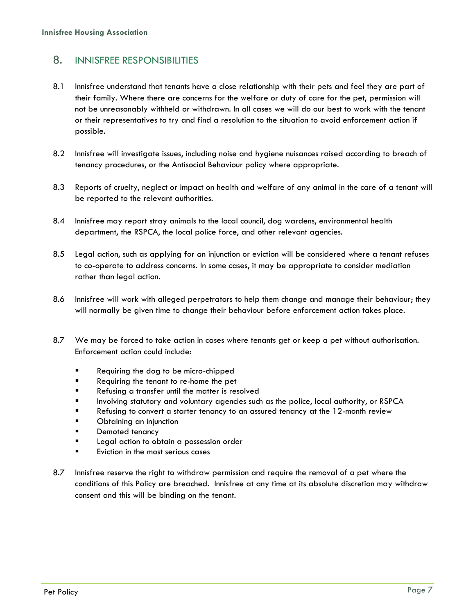#### 8. INNISFREE RESPONSIBILITIES

- 8.1 Innisfree understand that tenants have a close relationship with their pets and feel they are part of their family. Where there are concerns for the welfare or duty of care for the pet, permission will not be unreasonably withheld or withdrawn. In all cases we will do our best to work with the tenant or their representatives to try and find a resolution to the situation to avoid enforcement action if possible.
- 8.2 Innisfree will investigate issues, including noise and hygiene nuisances raised according to breach of tenancy procedures, or the Antisocial Behaviour policy where appropriate.
- 8.3 Reports of cruelty, neglect or impact on health and welfare of any animal in the care of a tenant will be reported to the relevant authorities.
- 8.4 Innisfree may report stray animals to the local council, dog wardens, environmental health department, the RSPCA, the local police force, and other relevant agencies.
- 8.5 Legal action, such as applying for an injunction or eviction will be considered where a tenant refuses to co-operate to address concerns. In some cases, it may be appropriate to consider mediation rather than legal action.
- 8.6 Innisfree will work with alleged perpetrators to help them change and manage their behaviour; they will normally be given time to change their behaviour before enforcement action takes place.
- 8.7 We may be forced to take action in cases where tenants get or keep a pet without authorisation. Enforcement action could include:
	- Requiring the dog to be micro-chipped
	- Requiring the tenant to re-home the pet
	- Refusing a transfer until the matter is resolved
	- Involving statutory and voluntary agencies such as the police, local authority, or RSPCA
	- Refusing to convert a starter tenancy to an assured tenancy at the 12-month review
	- Obtaining an injunction
	- Demoted tenancy
	- Legal action to obtain a possession order
	- Eviction in the most serious cases
- 8.7 Innisfree reserve the right to withdraw permission and require the removal of a pet where the conditions of this Policy are breached. Innisfree at any time at its absolute discretion may withdraw consent and this will be binding on the tenant.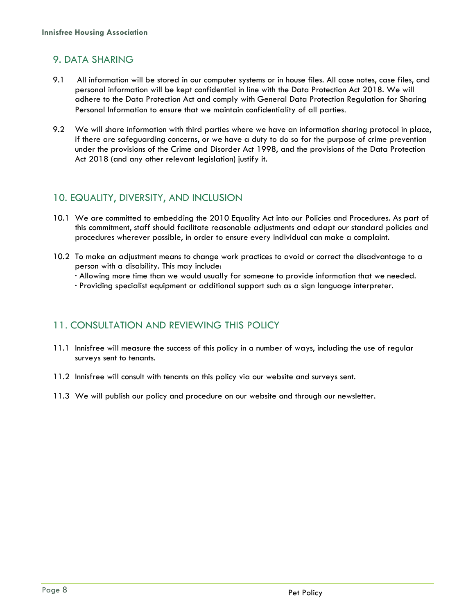#### 9. DATA SHARING

- 9.1 All information will be stored in our computer systems or in house files. All case notes, case files, and personal information will be kept confidential in line with the Data Protection Act 2018. We will adhere to the Data Protection Act and comply with General Data Protection Regulation for Sharing Personal Information to ensure that we maintain confidentiality of all parties.
- 9.2 We will share information with third parties where we have an information sharing protocol in place, if there are safeguarding concerns, or we have a duty to do so for the purpose of crime prevention under the provisions of the Crime and Disorder Act 1998, and the provisions of the Data Protection Act 2018 (and any other relevant legislation) justify it.

#### 10. EQUALITY, DIVERSITY, AND INCLUSION

- 10.1 We are committed to embedding the 2010 Equality Act into our Policies and Procedures. As part of this commitment, staff should facilitate reasonable adjustments and adapt our standard policies and procedures wherever possible, in order to ensure every individual can make a complaint.
- 10.2 To make an adjustment means to change work practices to avoid or correct the disadvantage to a person with a disability. This may include:

· Allowing more time than we would usually for someone to provide information that we needed.

· Providing specialist equipment or additional support such as a sign language interpreter.

#### 11. CONSULTATION AND REVIEWING THIS POLICY

- 11.1 Innisfree will measure the success of this policy in a number of ways, including the use of regular surveys sent to tenants.
- 11.2 Innisfree will consult with tenants on this policy via our website and surveys sent.
- 11.3 We will publish our policy and procedure on our website and through our newsletter.